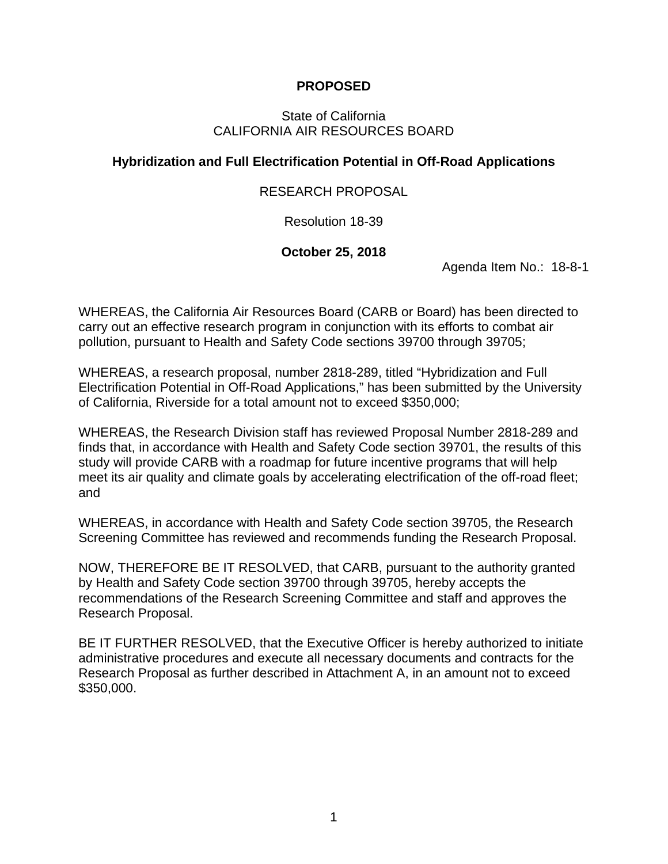#### **PROPOSED**

#### State of California CALIFORNIA AIR RESOURCES BOARD

#### **Hybridization and Full Electrification Potential in Off-Road Applications**

#### RESEARCH PROPOSAL

Resolution 18-39

#### **October 25, 2018**

Agenda Item No.: 18-8-1

WHEREAS, the California Air Resources Board (CARB or Board) has been directed to carry out an effective research program in conjunction with its efforts to combat air pollution, pursuant to Health and Safety Code sections 39700 through 39705;

WHEREAS, a research proposal, number 2818-289, titled "Hybridization and Full Electrification Potential in Off-Road Applications," has been submitted by the University of California, Riverside for a total amount not to exceed \$350,000;

WHEREAS, the Research Division staff has reviewed Proposal Number 2818-289 and finds that, in accordance with Health and Safety Code section 39701, the results of this study will provide CARB with a roadmap for future incentive programs that will help meet its air quality and climate goals by accelerating electrification of the off-road fleet; and

WHEREAS, in accordance with Health and Safety Code section 39705, the Research Screening Committee has reviewed and recommends funding the Research Proposal.

NOW, THEREFORE BE IT RESOLVED, that CARB, pursuant to the authority granted by Health and Safety Code section 39700 through 39705, hereby accepts the recommendations of the Research Screening Committee and staff and approves the Research Proposal.

BE IT FURTHER RESOLVED, that the Executive Officer is hereby authorized to initiate administrative procedures and execute all necessary documents and contracts for the Research Proposal as further described in Attachment A, in an amount not to exceed \$350,000.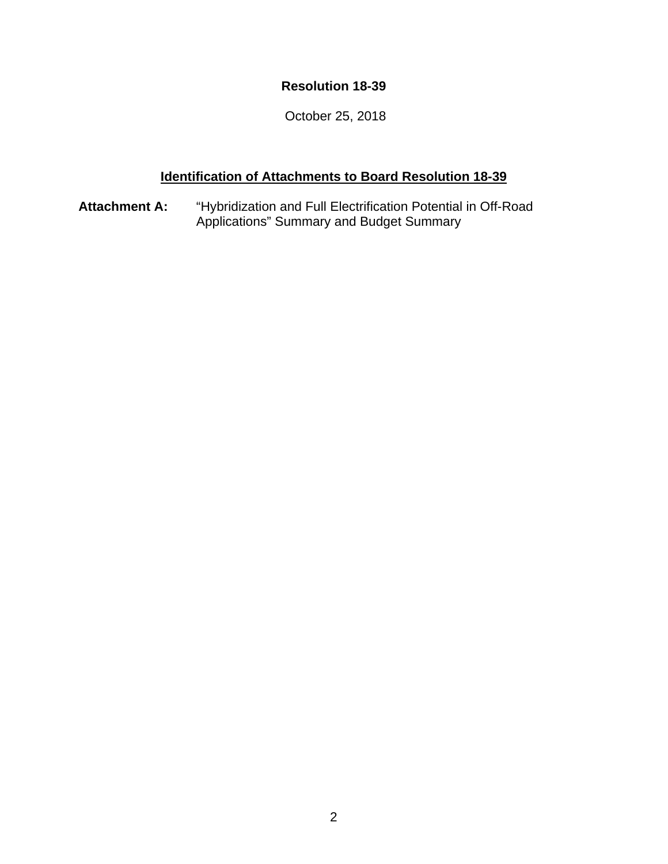### **Resolution 18-39**

October 25, 2018

### **Identification of Attachments to Board Resolution 18-39**

**Attachment A:** "Hybridization and Full Electrification Potential in Off-Road Applications" Summary and Budget Summary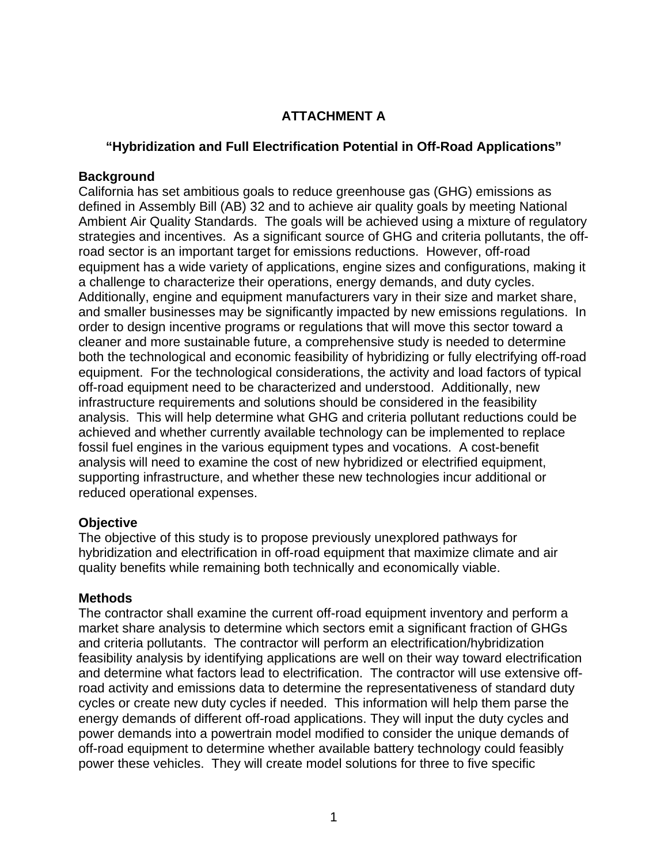## **ATTACHMENT A**

#### **"Hybridization and Full Electrification Potential in Off-Road Applications"**

#### **Background**

California has set ambitious goals to reduce greenhouse gas (GHG) emissions as defined in Assembly Bill (AB) 32 and to achieve air quality goals by meeting National Ambient Air Quality Standards. The goals will be achieved using a mixture of regulatory strategies and incentives. As a significant source of GHG and criteria pollutants, the offroad sector is an important target for emissions reductions. However, off-road equipment has a wide variety of applications, engine sizes and configurations, making it a challenge to characterize their operations, energy demands, and duty cycles. Additionally, engine and equipment manufacturers vary in their size and market share, and smaller businesses may be significantly impacted by new emissions regulations. In order to design incentive programs or regulations that will move this sector toward a cleaner and more sustainable future, a comprehensive study is needed to determine both the technological and economic feasibility of hybridizing or fully electrifying off-road equipment. For the technological considerations, the activity and load factors of typical off-road equipment need to be characterized and understood. Additionally, new infrastructure requirements and solutions should be considered in the feasibility analysis. This will help determine what GHG and criteria pollutant reductions could be achieved and whether currently available technology can be implemented to replace fossil fuel engines in the various equipment types and vocations. A cost-benefit analysis will need to examine the cost of new hybridized or electrified equipment, supporting infrastructure, and whether these new technologies incur additional or reduced operational expenses.

### **Objective**

The objective of this study is to propose previously unexplored pathways for hybridization and electrification in off-road equipment that maximize climate and air quality benefits while remaining both technically and economically viable.

#### **Methods**

The contractor shall examine the current off-road equipment inventory and perform a market share analysis to determine which sectors emit a significant fraction of GHGs and criteria pollutants. The contractor will perform an electrification/hybridization feasibility analysis by identifying applications are well on their way toward electrification and determine what factors lead to electrification. The contractor will use extensive offroad activity and emissions data to determine the representativeness of standard duty cycles or create new duty cycles if needed. This information will help them parse the energy demands of different off-road applications. They will input the duty cycles and power demands into a powertrain model modified to consider the unique demands of off-road equipment to determine whether available battery technology could feasibly power these vehicles. They will create model solutions for three to five specific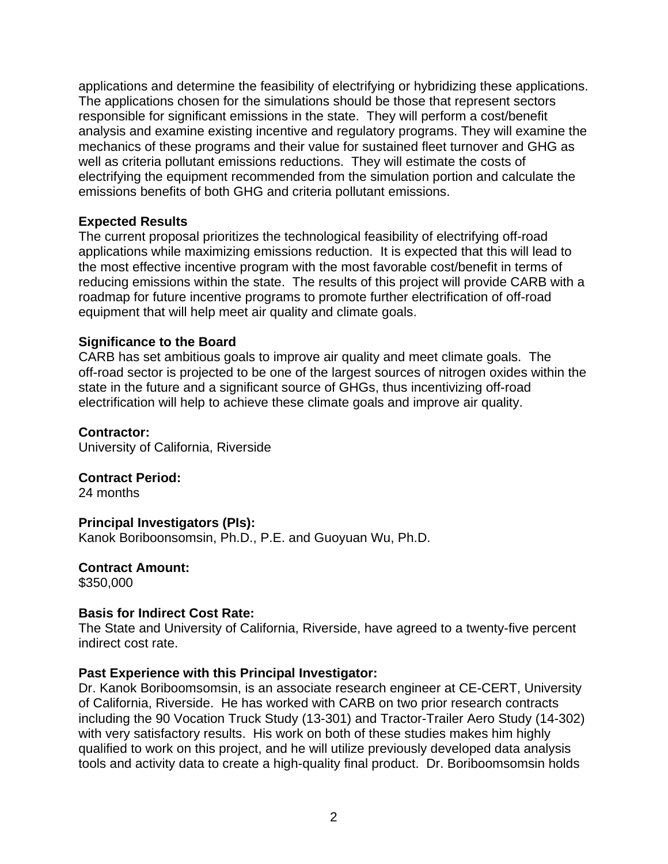applications and determine the feasibility of electrifying or hybridizing these applications. The applications chosen for the simulations should be those that represent sectors responsible for significant emissions in the state. They will perform a cost/benefit analysis and examine existing incentive and regulatory programs. They will examine the mechanics of these programs and their value for sustained fleet turnover and GHG as well as criteria pollutant emissions reductions. They will estimate the costs of electrifying the equipment recommended from the simulation portion and calculate the emissions benefits of both GHG and criteria pollutant emissions.

#### **Expected Results**

The current proposal prioritizes the technological feasibility of electrifying off-road applications while maximizing emissions reduction. It is expected that this will lead to the most effective incentive program with the most favorable cost/benefit in terms of reducing emissions within the state. The results of this project will provide CARB with a roadmap for future incentive programs to promote further electrification of off-road equipment that will help meet air quality and climate goals.

#### **Significance to the Board**

CARB has set ambitious goals to improve air quality and meet climate goals. The off-road sector is projected to be one of the largest sources of nitrogen oxides within the state in the future and a significant source of GHGs, thus incentivizing off-road electrification will help to achieve these climate goals and improve air quality.

#### **Contractor:**

University of California, Riverside

**Contract Period:** 24 months

#### **Principal Investigators (PIs):**

Kanok Boriboonsomsin, Ph.D., P.E. and Guoyuan Wu, Ph.D.

**Contract Amount:** \$350,000

#### **Basis for Indirect Cost Rate:**

The State and University of California, Riverside, have agreed to a twenty-five percent indirect cost rate.

#### **Past Experience with this Principal Investigator:**

Dr. Kanok Boriboomsomsin, is an associate research engineer at CE-CERT, University of California, Riverside. He has worked with CARB on two prior research contracts including the 90 Vocation Truck Study (13-301) and Tractor-Trailer Aero Study (14-302) with very satisfactory results. His work on both of these studies makes him highly qualified to work on this project, and he will utilize previously developed data analysis tools and activity data to create a high-quality final product. Dr. Boriboomsomsin holds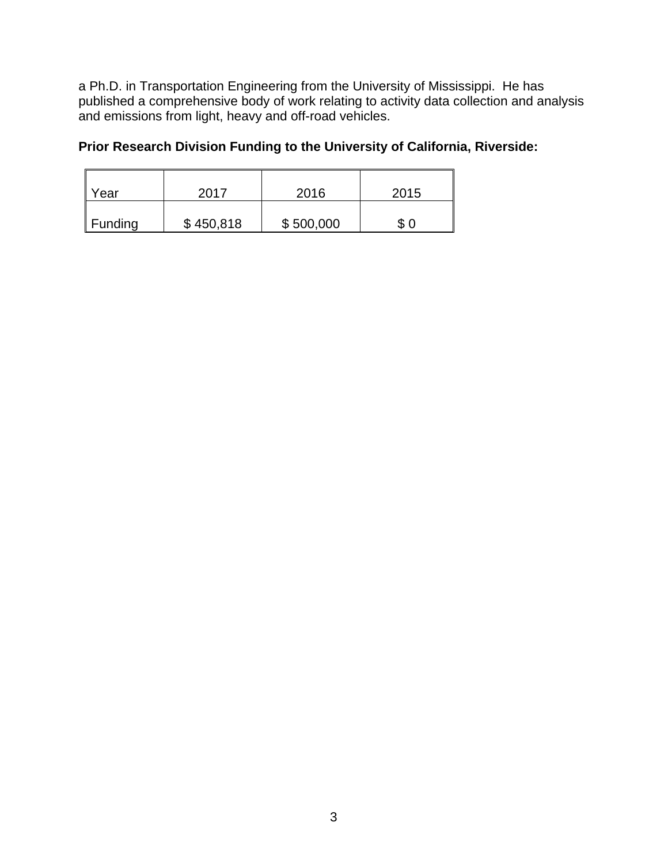a Ph.D. in Transportation Engineering from the University of Mississippi. He has published a comprehensive body of work relating to activity data collection and analysis and emissions from light, heavy and off-road vehicles.

## **Prior Research Division Funding to the University of California, Riverside:**

| Year                | 2017      | 2016      | 2015 |
|---------------------|-----------|-----------|------|
| $\parallel$ Funding | \$450,818 | \$500,000 | \$   |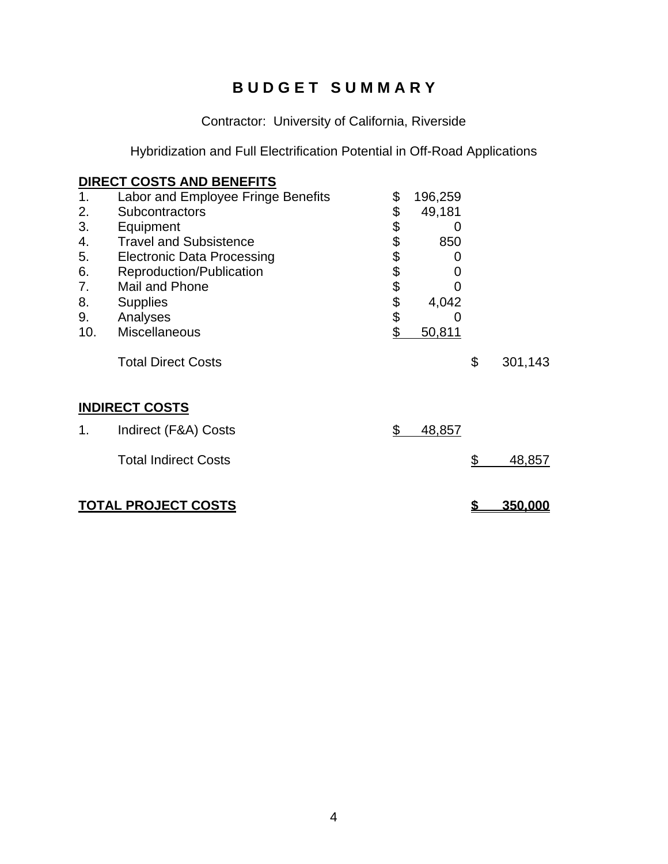# **B U D G E T S U M M A R Y**

Contractor: University of California, Riverside

Hybridization and Full Electrification Potential in Off-Road Applications

|     | DIRECT COSTS AND BENEFITS          |              |         |                      |
|-----|------------------------------------|--------------|---------|----------------------|
| 1.  | Labor and Employee Fringe Benefits | \$           | 196,259 |                      |
| 2.  | Subcontractors                     | \$           | 49,181  |                      |
| 3.  | Equipment                          | \$           | O       |                      |
| 4.  | <b>Travel and Subsistence</b>      | \$\$\$\$\$\$ | 850     |                      |
| 5.  | <b>Electronic Data Processing</b>  |              | 0       |                      |
| 6.  | Reproduction/Publication           |              | O       |                      |
| 7.  | Mail and Phone                     |              |         |                      |
| 8.  | <b>Supplies</b>                    |              | 4,042   |                      |
| 9.  | Analyses                           |              | O       |                      |
| 10. | <b>Miscellaneous</b>               | \$           | 50,811  |                      |
|     | <b>Total Direct Costs</b>          |              |         | \$<br>301,143        |
|     | <b>INDIRECT COSTS</b>              |              |         |                      |
| 1.  | Indirect (F&A) Costs               | \$           | 48,857  |                      |
|     | <b>Total Indirect Costs</b>        |              |         | \$<br>48,857         |
|     | <b>TOTAL PROJECT COSTS</b>         |              |         | \$<br><u>350,000</u> |